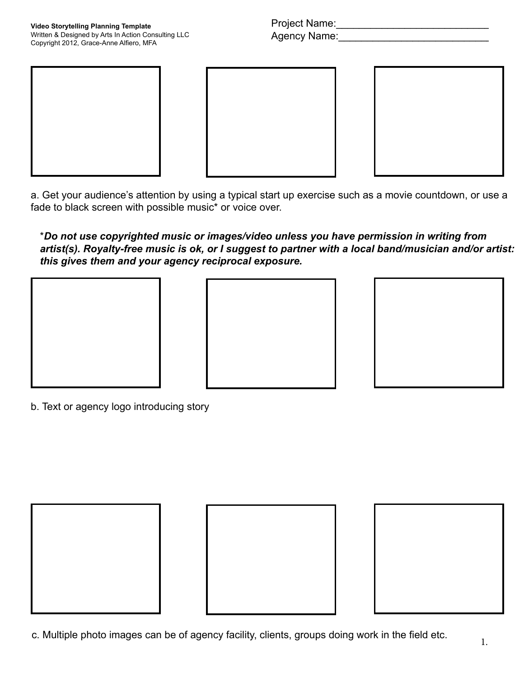Project Name:\_\_\_\_\_\_\_\_\_\_\_\_\_\_\_\_\_\_\_\_\_\_\_\_\_\_\_ Agency Name:\_\_\_\_\_\_\_\_\_\_\_\_\_\_\_\_\_\_\_\_\_\_\_\_\_\_\_







a. Get your audience's attention by using a typical start up exercise such as a movie countdown, or use a fade to black screen with possible music\* or voice over.

\**Do not use copyrighted music or images/video unless you have permission in writing from artist(s). Royalty-free music is ok, or I suggest to partner with a local band/musician and/or artist: this gives them and your agency reciprocal exposure.*







b. Text or agency logo introducing story





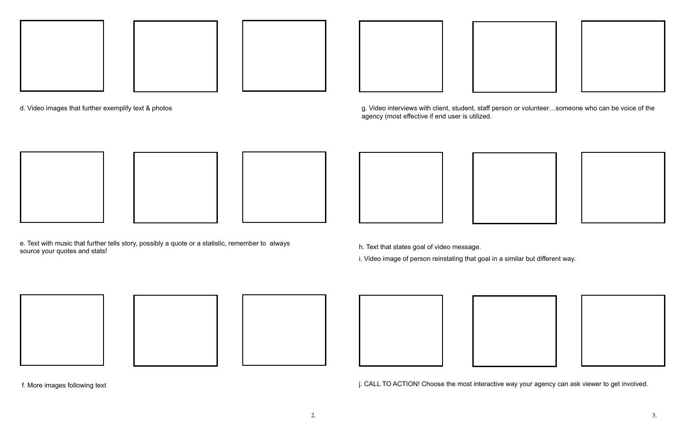

d. Video images that further exemplify text & photos







e. Text with music that further tells story, possibly a quote or a statistic, remember to always source your quotes and stats!





f. More images following text











g. Video interviews with client, student, staff person or volunteer…someone who can be voice of the agency (most effective if end user is utilized.







h. Text that states goal of video message.

i. Video image of person reinstating that goal in a similar but different way.











j. CALL TO ACTION! Choose the most interactive way your agency can ask viewer to get involved.